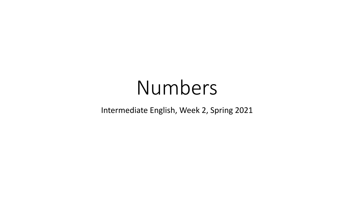# Numbers

#### Intermediate English, Week 2, Spring 2021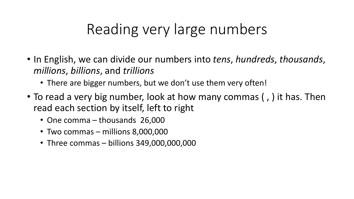# Reading very large numbers

- In English, we can divide our numbers into *tens*, *hundreds*, *thousands*, *millions*, *billions*, and *trillions*
	- There are bigger numbers, but we don't use them very often!
- To read a very big number, look at how many commas ( , ) it has. Then read each section by itself, left to right
	- One comma thousands 26,000
	- Two commas millions 8,000,000
	- Three commas billions 349,000,000,000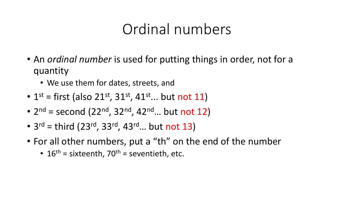## Ordinal numbers

- An *ordinal number* is used for putting things in order, not for a quantity
	- We use them for dates, streets, and
- $1^{st}$  = first (also 21<sup>st</sup>, 31<sup>st</sup>, 41<sup>st</sup>... but not 11)
- $2^{nd}$  = second (22<sup>nd</sup>, 32<sup>nd</sup>, 42<sup>nd</sup>... but not 12)
- $3^{rd}$  = third (23<sup>rd</sup>, 33<sup>rd</sup>, 43<sup>rd</sup>... but not 13)
- For all other numbers, put a "th" on the end of the number
	- 16<sup>th</sup> = sixteenth, 70<sup>th</sup> = seventieth, etc.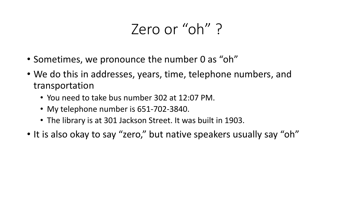## Zero or "oh" ?

- Sometimes, we pronounce the number 0 as "oh"
- We do this in addresses, years, time, telephone numbers, and transportation
	- You need to take bus number 302 at 12:07 PM.
	- My telephone number is 651-702-3840.
	- The library is at 301 Jackson Street. It was built in 1903.
- It is also okay to say "zero," but native speakers usually say "oh"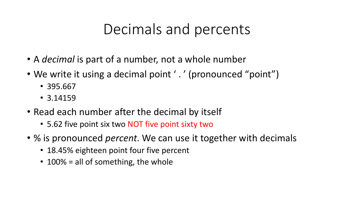## Decimals and percents

- A *decimal* is part of a number, not a whole number
- We write it using a decimal point '.' (pronounced "point")
	- 395.667
	- 3.14159
- Read each number after the decimal by itself
	- 5.62 five point six two NOT five point sixty two
- % is pronounced *percent*. We can use it together with decimals
	- 18.45% eighteen point four five percent
	- 100% = all of something, the whole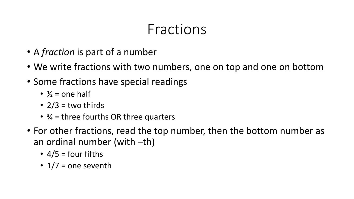# Fractions

- A *fraction* is part of a number
- We write fractions with two numbers, one on top and one on bottom
- Some fractions have special readings
	- $\frac{1}{2}$  = one half
	- $2/3$  = two thirds
	- $\frac{3}{4}$  = three fourths OR three quarters
- For other fractions, read the top number, then the bottom number as an ordinal number (with –th)
	- $4/5$  = four fifths
	- $1/7$  = one seventh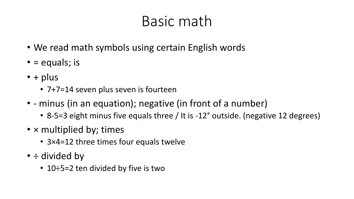# Basic math

- We read math symbols using certain English words
- $\bullet$  = equals; is
- $\cdot$  + plus
	- 7+7=14 seven plus seven is fourteen
- - minus (in an equation); negative (in front of a number)
	- 8-5=3 eight minus five equals three / It is -12° outside. (negative 12 degrees)
- x multiplied by; times
	- 3×4=12 three times four equals twelve
- ÷ divided by
	- 10÷5=2 ten divided by five is two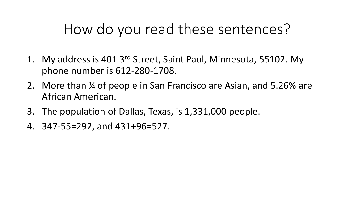# How do you read these sentences?

- 1. My address is 401 3rd Street, Saint Paul, Minnesota, 55102. My phone number is 612-280-1708.
- 2. More than ¼ of people in San Francisco are Asian, and 5.26% are African American.
- 3. The population of Dallas, Texas, is 1,331,000 people.
- 4. 347-55=292, and 431+96=527.